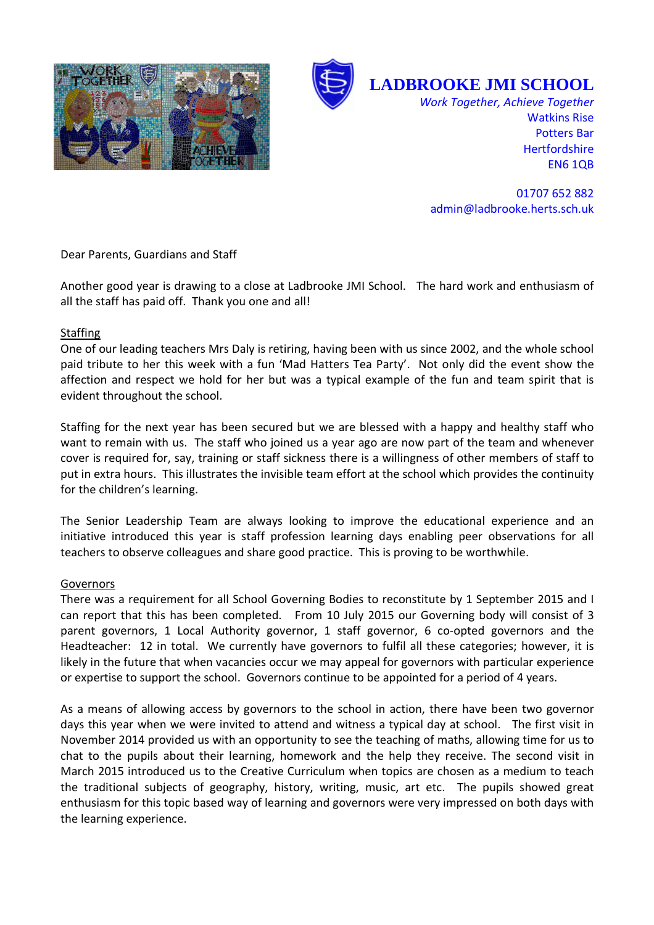



**LADBROOKE JMI SCHOOL** 

*Work Together, Achieve Together*  Watkins Rise Potters Bar **Hertfordshire** EN6 1QB

01707 652 882 admin@ladbrooke.herts.sch.uk

Dear Parents, Guardians and Staff

Another good year is drawing to a close at Ladbrooke JMI School. The hard work and enthusiasm of all the staff has paid off. Thank you one and all!

## Staffing

One of our leading teachers Mrs Daly is retiring, having been with us since 2002, and the whole school paid tribute to her this week with a fun 'Mad Hatters Tea Party'. Not only did the event show the affection and respect we hold for her but was a typical example of the fun and team spirit that is evident throughout the school.

Staffing for the next year has been secured but we are blessed with a happy and healthy staff who want to remain with us. The staff who joined us a year ago are now part of the team and whenever cover is required for, say, training or staff sickness there is a willingness of other members of staff to put in extra hours. This illustrates the invisible team effort at the school which provides the continuity for the children's learning.

The Senior Leadership Team are always looking to improve the educational experience and an initiative introduced this year is staff profession learning days enabling peer observations for all teachers to observe colleagues and share good practice. This is proving to be worthwhile.

## Governors

There was a requirement for all School Governing Bodies to reconstitute by 1 September 2015 and I can report that this has been completed. From 10 July 2015 our Governing body will consist of 3 parent governors, 1 Local Authority governor, 1 staff governor, 6 co-opted governors and the Headteacher: 12 in total. We currently have governors to fulfil all these categories; however, it is likely in the future that when vacancies occur we may appeal for governors with particular experience or expertise to support the school. Governors continue to be appointed for a period of 4 years.

As a means of allowing access by governors to the school in action, there have been two governor days this year when we were invited to attend and witness a typical day at school. The first visit in November 2014 provided us with an opportunity to see the teaching of maths, allowing time for us to chat to the pupils about their learning, homework and the help they receive. The second visit in March 2015 introduced us to the Creative Curriculum when topics are chosen as a medium to teach the traditional subjects of geography, history, writing, music, art etc. The pupils showed great enthusiasm for this topic based way of learning and governors were very impressed on both days with the learning experience.